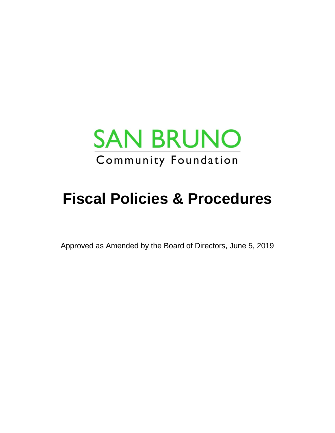

# **Fiscal Policies & Procedures**

Approved as Amended by the Board of Directors, June 5, 2019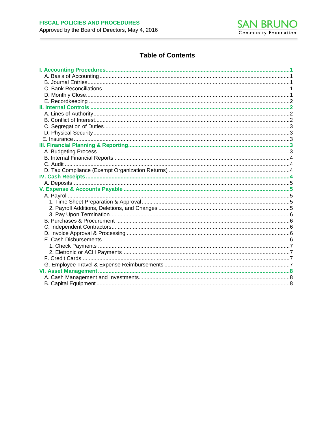

# **Table of Contents**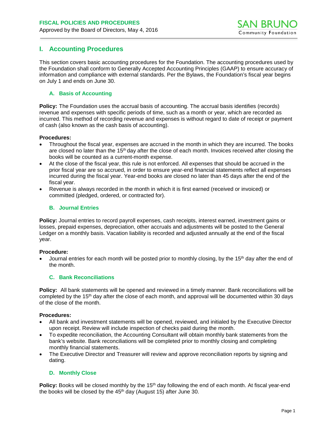# <span id="page-2-0"></span>**I. Accounting Procedures**

This section covers basic accounting procedures for the Foundation. The accounting procedures used by the Foundation shall conform to Generally Accepted Accounting Principles (GAAP) to ensure accuracy of information and compliance with external standards. Per the Bylaws, the Foundation's fiscal year begins on July 1 and ends on June 30.

#### <span id="page-2-1"></span>**A. Basis of Accounting**

**Policy:** The Foundation uses the accrual basis of accounting. The accrual basis identifies (records) revenue and expenses with specific periods of time, such as a month or year, which are recorded as incurred. This method of recording revenue and expenses is without regard to date of receipt or payment of cash (also known as the cash basis of accounting).

#### **Procedures:**

- Throughout the fiscal year, expenses are accrued in the month in which they are incurred. The books are closed no later than the 15<sup>th</sup> day after the close of each month. Invoices received after closing the books will be counted as a current-month expense.
- At the close of the fiscal year, this rule is not enforced. All expenses that should be accrued in the prior fiscal year are so accrued, in order to ensure year-end financial statements reflect all expenses incurred during the fiscal year. Year-end books are closed no later than 45 days after the end of the fiscal year.
- <span id="page-2-2"></span>• Revenue is always recorded in the month in which it is first earned (received or invoiced) or committed (pledged, ordered, or contracted for).

#### **B. Journal Entries**

**Policy:** Journal entries to record payroll expenses, cash receipts, interest earned, investment gains or losses, prepaid expenses, depreciation, other accruals and adjustments will be posted to the General Ledger on a monthly basis. Vacation liability is recorded and adjusted annually at the end of the fiscal year.

#### **Procedure:**

<span id="page-2-3"></span>• Journal entries for each month will be posted prior to monthly closing, by the 15th day after the end of the month.

#### **C. Bank Reconciliations**

**Policy:** All bank statements will be opened and reviewed in a timely manner. Bank reconciliations will be completed by the 15th day after the close of each month, and approval will be documented within 30 days of the close of the month.

#### **Procedures:**

- All bank and investment statements will be opened, reviewed, and initialed by the Executive Director upon receipt. Review will include inspection of checks paid during the month.
- To expedite reconciliation, the Accounting Consultant will obtain monthly bank statements from the bank's website. Bank reconciliations will be completed prior to monthly closing and completing monthly financial statements.
- The Executive Director and Treasurer will review and approve reconciliation reports by signing and dating.

#### <span id="page-2-4"></span>**D. Monthly Close**

**Policy:** Books will be closed monthly by the 15<sup>th</sup> day following the end of each month. At fiscal year-end the books will be closed by the  $45<sup>th</sup>$  day (August 15) after June 30.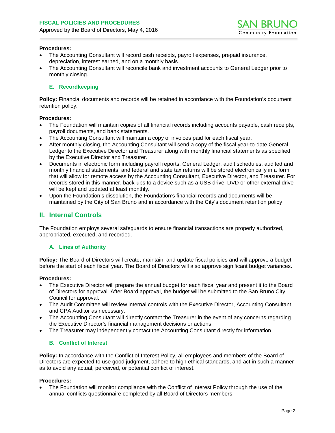#### **Procedures:**

- The Accounting Consultant will record cash receipts, payroll expenses, prepaid insurance, depreciation, interest earned, and on a monthly basis.
- The Accounting Consultant will reconcile bank and investment accounts to General Ledger prior to monthly closing.

## <span id="page-3-0"></span>**E. Recordkeeping**

**Policy:** Financial documents and records will be retained in accordance with the Foundation's document retention policy.

#### **Procedures:**

- The Foundation will maintain copies of all financial records including accounts payable, cash receipts, payroll documents, and bank statements.
- The Accounting Consultant will maintain a copy of invoices paid for each fiscal year.
- After monthly closing, the Accounting Consultant will send a copy of the fiscal year-to-date General Ledger to the Executive Director and Treasurer along with monthly financial statements as specified by the Executive Director and Treasurer.
- Documents in electronic form including payroll reports, General Ledger, audit schedules, audited and monthly financial statements, and federal and state tax returns will be stored electronically in a form that will allow for remote access by the Accounting Consultant, Executive Director, and Treasurer. For records stored in this manner, back-ups to a device such as a USB drive, DVD or other external drive will be kept and updated at least monthly.
- Upon the Foundation's dissolution, the Foundation's financial records and documents will be maintained by the City of San Bruno and in accordance with the City's document retention policy

## <span id="page-3-1"></span>**II. Internal Controls**

<span id="page-3-2"></span>The Foundation employs several safeguards to ensure financial transactions are properly authorized, appropriated, executed, and recorded.

## **A. Lines of Authority**

**Policy:** The Board of Directors will create, maintain, and update fiscal policies and will approve a budget before the start of each fiscal year. The Board of Directors will also approve significant budget variances.

#### **Procedures:**

- The Executive Director will prepare the annual budget for each fiscal year and present it to the Board of Directors for approval. After Board approval, the budget will be submitted to the San Bruno City Council for approval.
- The Audit Committee will review internal controls with the Executive Director, Accounting Consultant, and CPA Auditor as necessary.
- The Accounting Consultant will directly contact the Treasurer in the event of any concerns regarding the Executive Director's financial management decisions or actions.
- <span id="page-3-3"></span>The Treasurer may independently contact the Accounting Consultant directly for information.

#### **B. Conflict of Interest**

**Policy:** In accordance with the Conflict of Interest Policy, all employees and members of the Board of Directors are expected to use good judgment, adhere to high ethical standards, and act in such a manner as to avoid any actual, perceived, or potential conflict of interest.

#### **Procedures:**

The Foundation will monitor compliance with the Conflict of Interest Policy through the use of the annual conflicts questionnaire completed by all Board of Directors members.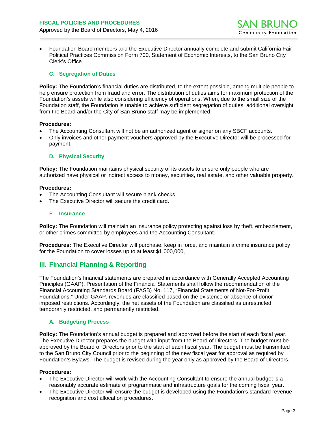• Foundation Board members and the Executive Director annually complete and submit California Fair Political Practices Commission Form 700, Statement of Economic Interests, to the San Bruno City Clerk's Office.

## <span id="page-4-0"></span>**C. Segregation of Duties**

**Policy:** The Foundation's financial duties are distributed, to the extent possible, among multiple people to help ensure protection from fraud and error. The distribution of duties aims for maximum protection of the Foundation's assets while also considering efficiency of operations. When, due to the small size of the Foundation staff, the Foundation is unable to achieve sufficient segregation of duties, additional oversight from the Board and/or the City of San Bruno staff may be implemented.

#### **Procedures:**

- The Accounting Consultant will not be an authorized agent or signer on any SBCF accounts.
- Only invoices and other payment vouchers approved by the Executive Director will be processed for payment.

## <span id="page-4-1"></span>**D. Physical Security**

**Policy:** The Foundation maintains physical security of its assets to ensure only people who are authorized have physical or indirect access to money, securities, real estate, and other valuable property.

#### **Procedures:**

- The Accounting Consultant will secure blank checks.
- <span id="page-4-2"></span>The Executive Director will secure the credit card.

#### E. **Insurance**

**Policy:** The Foundation will maintain an insurance policy protecting against loss by theft, embezzlement, or other crimes committed by employees and the Accounting Consultant.

**Procedures:** The Executive Director will purchase, keep in force, and maintain a crime insurance policy for the Foundation to cover losses up to at least \$1,000,000,

# **III. Financial Planning & Reporting**

The Foundation's financial statements are prepared in accordance with Generally Accepted Accounting Principles (GAAP). Presentation of the Financial Statements shall follow the recommendation of the Financial Accounting Standards Board (FASB) No. 117, "Financial Statements of Not-For-Profit Foundations." Under GAAP, revenues are classified based on the existence or absence of donorimposed restrictions. Accordingly, the net assets of the Foundation are classified as unrestricted, temporarily restricted, and permanently restricted.

## <span id="page-4-3"></span>**A. Budgeting Process**

**Policy:** The Foundation's annual budget is prepared and approved before the start of each fiscal year. The Executive Director prepares the budget with input from the Board of Directors. The budget must be approved by the Board of Directors prior to the start of each fiscal year. The budget must be transmitted to the San Bruno City Council prior to the beginning of the new fiscal year for approval as required by Foundation's Bylaws. The budget is revised during the year only as approved by the Board of Directors.

#### **Procedures:**

- The Executive Director will work with the Accounting Consultant to ensure the annual budget is a reasonably accurate estimate of programmatic and infrastructure goals for the coming fiscal year.
- The Executive Director will ensure the budget is developed using the Foundation's standard revenue recognition and cost allocation procedures.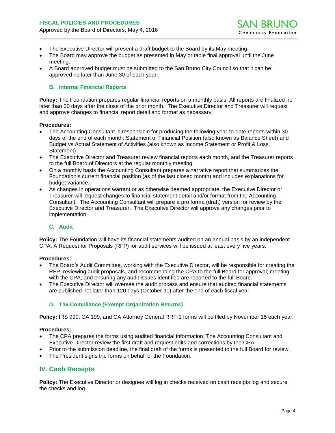- The Executive Director will present a draft budget to the Board by its May meeting.
- The Board may approve the budget as presented in May or table final approval until the June meeting.
- <span id="page-5-0"></span>• A Board approved budget must be submitted to the San Bruno City Council so that it can be approved no later than June 30 of each year.

## **B. Internal Financial Reports**

**Policy:** The Foundation prepares regular financial reports on a monthly basis. All reports are finalized no later than 30 days after the close of the prior month. The Executive Director and Treasurer will request and approve changes to financial report detail and format as necessary.

#### **Procedures:**

- The Accounting Consultant is responsible for producing the following year-to-date reports within 30 days of the end of each month: Statement of Financial Position (also known as Balance Sheet) and Budget vs Actual Statement of Activities (also known as Income Statement or Profit & Loss Statement).
- The Executive Director and Treasurer review financial reports each month, and the Treasurer reports to the full Board of Directors at the regular monthly meeting.
- On a monthly basis the Accounting Consultant prepares a narrative report that summarizes the Foundation's current financial position (as of the last closed month) and includes explanations for budget variance.
- As changes in operations warrant or as otherwise deemed appropriate, the Executive Director or Treasurer will request changes to financial statement detail and/or format from the Accounting Consultant. The Accounting Consultant will prepare a pro forma (draft) version for review by the Executive Director and Treasurer. The Executive Director will approve any changes prior to implementation.

## <span id="page-5-1"></span>**C. Audit**

**Policy:** The Foundation will have its financial statements audited on an annual basis by an independent CPA. A Request for Proposals (RFP) for audit services will be issued at least every five years.

## **Procedures:**

- The Board's Audit Committee, working with the Executive Director, will be responsible for creating the RFP, reviewing audit proposals, and recommending the CPA to the full Board for approval; meeting with the CPA; and ensuring any audit issues identified are reported to the full Board.
- The Executive Director will oversee the audit process and ensure that audited financial statements are published not later than 120 days (October 31) after the end of each fiscal year.

## <span id="page-5-2"></span>**D. Tax Compliance (Exempt Organization Returns)**

**Policy:** IRS 990, CA 199, and CA Attorney General RRF-1 forms will be filed by November 15 each year.

## **Procedures:**

- The CPA prepares the forms using audited financial information. The Accounting Consultant and Executive Director review the first draft and request edits and corrections by the CPA.
- Prior to the submission deadline, the final draft of the forms is presented to the full Board for review.
- The President signs the forms on behalf of the Foundation.

# <span id="page-5-3"></span>**IV. Cash Receipts**

**Policy:** The Executive Director or designee will log in checks received on cash receipts log and secure the checks and log.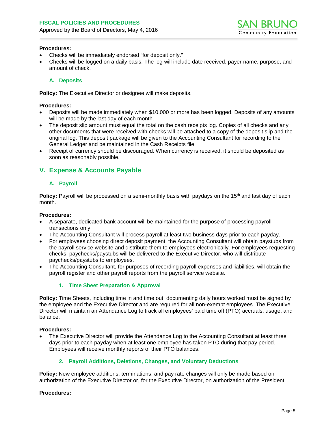#### **Procedures:**

- Checks will be immediately endorsed "for deposit only."
- Checks will be logged on a daily basis. The log will include date received, payer name, purpose, and amount of check.

## <span id="page-6-0"></span>**A. Deposits**

**Policy:** The Executive Director or designee will make deposits.

#### **Procedures:**

- Deposits will be made immediately when \$10,000 or more has been logged. Deposits of any amounts will be made by the last day of each month.
- The deposit slip amount must equal the total on the cash receipts log. Copies of all checks and any other documents that were received with checks will be attached to a copy of the deposit slip and the original log. This deposit package will be given to the Accounting Consultant for recording to the General Ledger and be maintained in the Cash Receipts file.
- Receipt of currency should be discouraged. When currency is received, it should be deposited as soon as reasonably possible.

# <span id="page-6-2"></span><span id="page-6-1"></span>**V. Expense & Accounts Payable**

## **A. Payroll**

**Policy:** Payroll will be processed on a semi-monthly basis with paydays on the 15<sup>th</sup> and last day of each month.

#### **Procedures:**

- A separate, dedicated bank account will be maintained for the purpose of processing payroll transactions only.
- The Accounting Consultant will process payroll at least two business days prior to each payday.
- For employees choosing direct deposit payment, the Accounting Consultant will obtain paystubs from the payroll service website and distribute them to employees electronically. For employees requesting checks, paychecks/paystubs will be delivered to the Executive Director, who will distribute paychecks/paystubs to employees.
- <span id="page-6-3"></span>• The Accounting Consultant, for purposes of recording payroll expenses and liabilities, will obtain the payroll register and other payroll reports from the payroll service website.

## **1. Time Sheet Preparation & Approval**

**Policy:** Time Sheets, including time in and time out, documenting daily hours worked must be signed by the employee and the Executive Director and are required for all non-exempt employees. The Executive Director will maintain an Attendance Log to track all employees' paid time off (PTO) accruals, usage, and balance.

#### **Procedures:**

- <span id="page-6-4"></span>The Executive Director will provide the Attendance Log to the Accounting Consultant at least three days prior to each payday when at least one employee has taken PTO during that pay period. Employees will receive monthly reports of their PTO balances.
	- **2. Payroll Additions, Deletions, Changes, and Voluntary Deductions**

**Policy:** New employee additions, terminations, and pay rate changes will only be made based on authorization of the Executive Director or, for the Executive Director, on authorization of the President.

#### **Procedures:**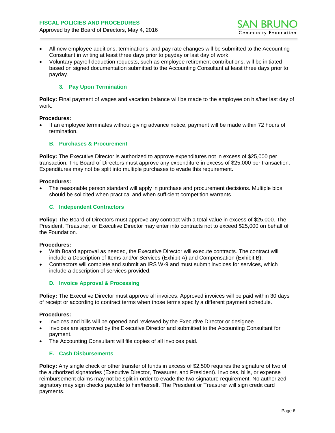- All new employee additions, terminations, and pay rate changes will be submitted to the Accounting Consultant in writing at least three days prior to payday or last day of work.
- <span id="page-7-0"></span>• Voluntary payroll deduction requests, such as employee retirement contributions, will be initiated based on signed documentation submitted to the Accounting Consultant at least three days prior to payday.

### **3. Pay Upon Termination**

**Policy:** Final payment of wages and vacation balance will be made to the employee on his/her last day of work.

#### **Procedures:**

• If an employee terminates without giving advance notice, payment will be made within 72 hours of termination.

#### <span id="page-7-1"></span>**B. Purchases & Procurement**

**Policy:** The Executive Director is authorized to approve expenditures not in excess of \$25,000 per transaction. The Board of Directors must approve any expenditure in excess of \$25,000 per transaction. Expenditures may not be split into multiple purchases to evade this requirement.

#### **Procedures:**

• The reasonable person standard will apply in purchase and procurement decisions. Multiple bids should be solicited when practical and when sufficient competition warrants.

#### <span id="page-7-2"></span>**C. Independent Contractors**

**Policy:** The Board of Directors must approve any contract with a total value in excess of \$25,000. The President, Treasurer, or Executive Director may enter into contracts not to exceed \$25,000 on behalf of the Foundation.

#### **Procedures:**

- With Board approval as needed, the Executive Director will execute contracts. The contract will include a Description of Items and/or Services (Exhibit A) and Compensation (Exhibit B).
- <span id="page-7-3"></span>• Contractors will complete and submit an IRS W-9 and must submit invoices for services, which include a description of services provided.

## **D. Invoice Approval & Processing**

**Policy:** The Executive Director must approve all invoices. Approved invoices will be paid within 30 days of receipt or according to contract terms when those terms specify a different payment schedule.

#### **Procedures:**

- Invoices and bills will be opened and reviewed by the Executive Director or designee.
- Invoices are approved by the Executive Director and submitted to the Accounting Consultant for payment.
- <span id="page-7-4"></span>• The Accounting Consultant will file copies of all invoices paid.

#### **E. Cash Disbursements**

**Policy:** Any single check or other transfer of funds in excess of \$2,500 requires the signature of two of the authorized signatories (Executive Director, Treasurer, and President). Invoices, bills, or expense reimbursement claims may not be split in order to evade the two-signature requirement. No authorized signatory may sign checks payable to him/herself. The President or Treasurer will sign credit card payments.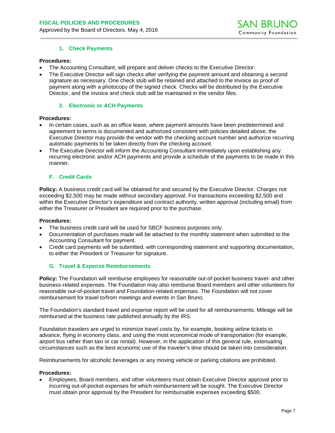#### **1. Check Payments**

#### **Procedures:**

- The Accounting Consultant, will prepare and deliver checks to the Executive Director.
- The Executive Director will sign checks after verifying the payment amount and obtaining a second signature as necessary. One check stub will be retained and attached to the invoice as proof of payment along with a photocopy of the signed check. Checks will be distributed by the Executive Director, and the invoice and check stub will be maintained in the vendor files.

#### **2. Electronic or ACH Payments**

#### <span id="page-8-0"></span>**Procedures:**

- In certain cases, such as an office lease, where payment amounts have been predetermined and agreement to terms is documented and authorized consistent with policies detailed above, the Executive Director may provide the vendor with the checking account number and authorize recurring automatic payments to be taken directly from the checking account.
- The Executive Director will inform the Accounting Consultant immediately upon establishing any recurring electronic and/or ACH payments and provide a schedule of the payments to be made in this manner.

#### **F. Credit Cards**

**Policy:** A business credit card will be obtained for and secured by the Executive Director. Charges not exceeding \$2,500 may be made without secondary approval. For transactions exceeding \$2,500 and within the Executive Director's expenditure and contract authority, written approval (including email) from either the Treasurer or President are required prior to the purchase.

#### **Procedures:**

- The business credit card will be used for SBCF business purposes only.
- Documentation of purchases made will be attached to the monthly statement when submitted to the Accounting Consultant for payment.
- Credit card payments will be submitted, with corresponding statement and supporting documentation, to either the President or Treasurer for signature.

#### <span id="page-8-1"></span>**G. Travel & Expense Reimbursements**

**Policy:** The Foundation will reimburse employees for reasonable out-of-pocket business travel- and other business-related expenses. The Foundation may also reimburse Board members and other volunteers for reasonable out-of-pocket travel and Foundation-related expenses. The Foundation will not cover reimbursement for travel to/from meetings and events in San Bruno.

The Foundation's standard travel and expense report will be used for all reimbursements. Mileage will be reimbursed at the business rate published annually by the IRS.

Foundation travelers are urged to minimize travel costs by, for example, booking airline tickets in advance, flying in economy class, and using the most economical mode of transportation (for example, airport bus rather than taxi or car rental). However, in the application of this general rule, extenuating circumstances such as the best economic use of the traveler's time should be taken into consideration.

Reimbursements for alcoholic beverages or any moving vehicle or parking citations are prohibited.

#### **Procedures:**

• Employees, Board members, and other volunteers must obtain Executive Director approval prior to incurring out-of-pocket expenses for which reimbursement will be sought. The Executive Director must obtain prior approval by the President for reimbursable expenses exceeding \$500.